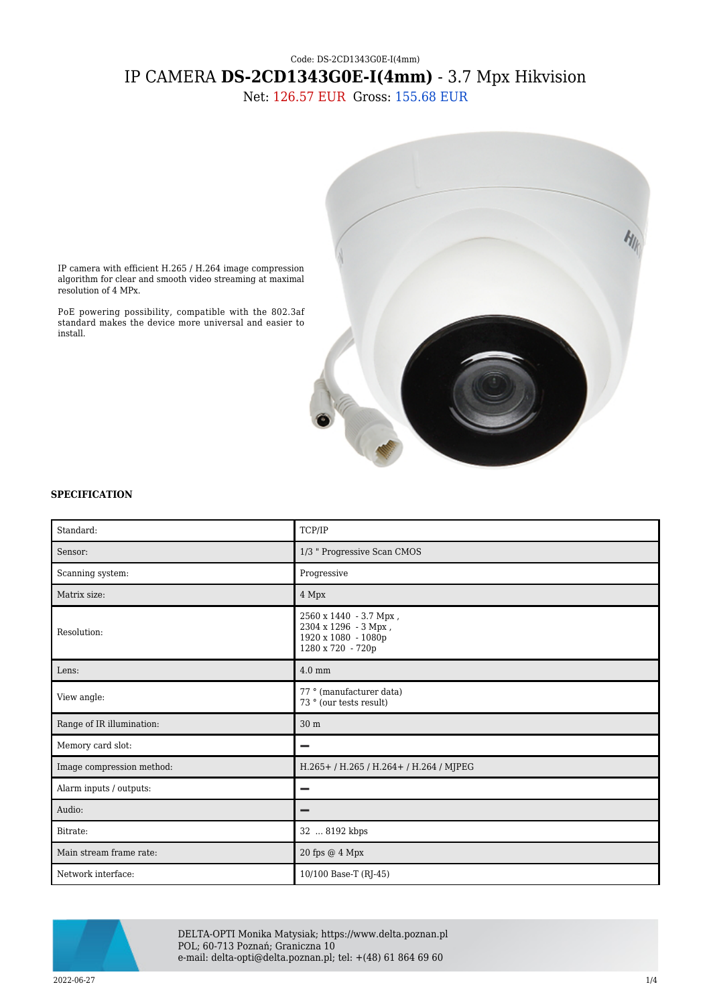## Code: DS-2CD1343G0E-I(4mm) IP CAMERA **DS-2CD1343G0E-I(4mm)** - 3.7 Mpx Hikvision

Net: 126.57 EUR Gross: 155.68 EUR



IP camera with efficient H.265 / H.264 image compression algorithm for clear and smooth video streaming at maximal resolution of 4 MPx.

PoE powering possibility, compatible with the 802.3af standard makes the device more universal and easier to install.

## **SPECIFICATION**

| Standard:                 | TCP/IP                                                                                     |
|---------------------------|--------------------------------------------------------------------------------------------|
| Sensor:                   | 1/3 " Progressive Scan CMOS                                                                |
| Scanning system:          | Progressive                                                                                |
| Matrix size:              | 4 Mpx                                                                                      |
| Resolution:               | 2560 x 1440 - 3.7 Mpx,<br>2304 х 1296 - 3 Мрх,<br>1920 x 1080 - 1080p<br>1280 x 720 - 720p |
| Lens:                     | $4.0 \text{ mm}$                                                                           |
| View angle:               | 77 ° (manufacturer data)<br>73 $^{\circ}$ (our tests result)                               |
| Range of IR illumination: | 30 <sub>m</sub>                                                                            |
| Memory card slot:         |                                                                                            |
| Image compression method: | H.265+/H.265/H.264+/H.264/MJPEG                                                            |
| Alarm inputs / outputs:   |                                                                                            |
| Audio:                    | -                                                                                          |
| Bitrate:                  | 32  8192 kbps                                                                              |
| Main stream frame rate:   | 20 fps @ 4 Mpx                                                                             |
| Network interface:        | 10/100 Base-T (RJ-45)                                                                      |



DELTA-OPTI Monika Matysiak; https://www.delta.poznan.pl POL; 60-713 Poznań; Graniczna 10 e-mail: delta-opti@delta.poznan.pl; tel: +(48) 61 864 69 60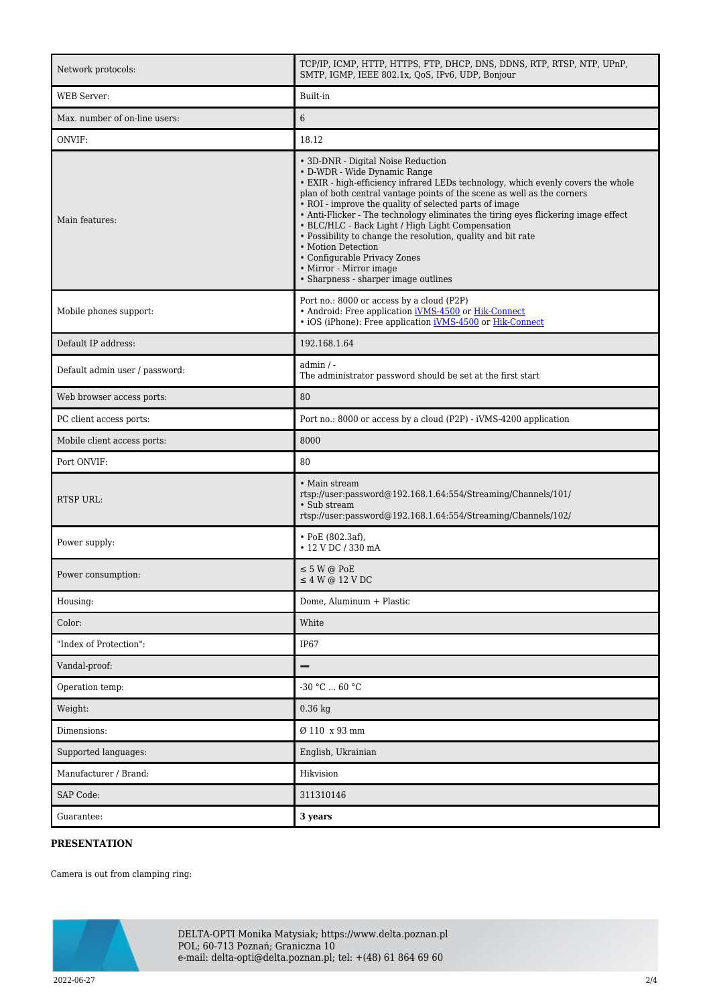| Network protocols:             | TCP/IP, ICMP, HTTP, HTTPS, FTP, DHCP, DNS, DDNS, RTP, RTSP, NTP, UPnP,<br>SMTP, IGMP, IEEE 802.1x, QoS, IPv6, UDP, Bonjour                                                                                                                                                                                                                                                                                                                                                                                                                                                                                                     |
|--------------------------------|--------------------------------------------------------------------------------------------------------------------------------------------------------------------------------------------------------------------------------------------------------------------------------------------------------------------------------------------------------------------------------------------------------------------------------------------------------------------------------------------------------------------------------------------------------------------------------------------------------------------------------|
| <b>WEB</b> Server:             | Built-in                                                                                                                                                                                                                                                                                                                                                                                                                                                                                                                                                                                                                       |
| Max. number of on-line users:  | $\sqrt{6}$                                                                                                                                                                                                                                                                                                                                                                                                                                                                                                                                                                                                                     |
| ONVIF:                         | 18.12                                                                                                                                                                                                                                                                                                                                                                                                                                                                                                                                                                                                                          |
| Main features:                 | • 3D-DNR - Digital Noise Reduction<br>• D-WDR - Wide Dynamic Range<br>• EXIR - high-efficiency infrared LEDs technology, which evenly covers the whole<br>plan of both central vantage points of the scene as well as the corners<br>• ROI - improve the quality of selected parts of image<br>• Anti-Flicker - The technology eliminates the tiring eyes flickering image effect<br>• BLC/HLC - Back Light / High Light Compensation<br>• Possibility to change the resolution, quality and bit rate<br>• Motion Detection<br>• Configurable Privacy Zones<br>• Mirror - Mirror image<br>• Sharpness - sharper image outlines |
| Mobile phones support:         | Port no.: 8000 or access by a cloud (P2P)<br>• Android: Free application <i>iVMS-4500</i> or <i>Hik-Connect</i><br>• iOS (iPhone): Free application <i>iVMS-4500</i> or <i>Hik-Connect</i>                                                                                                                                                                                                                                                                                                                                                                                                                                     |
| Default IP address:            | 192.168.1.64                                                                                                                                                                                                                                                                                                                                                                                                                                                                                                                                                                                                                   |
| Default admin user / password: | admin / -<br>The administrator password should be set at the first start                                                                                                                                                                                                                                                                                                                                                                                                                                                                                                                                                       |
| Web browser access ports:      | 80                                                                                                                                                                                                                                                                                                                                                                                                                                                                                                                                                                                                                             |
| PC client access ports:        | Port no.: 8000 or access by a cloud (P2P) - iVMS-4200 application                                                                                                                                                                                                                                                                                                                                                                                                                                                                                                                                                              |
| Mobile client access ports:    | 8000                                                                                                                                                                                                                                                                                                                                                                                                                                                                                                                                                                                                                           |
| Port ONVIF:                    | 80                                                                                                                                                                                                                                                                                                                                                                                                                                                                                                                                                                                                                             |
| RTSP URL:                      | • Main stream<br>rtsp://user.password@192.168.1.64:554/Streaming/Channels/101/<br>• Sub stream<br>rtsp://user.password@192.168.1.64:554/Streaming/Channels/102/                                                                                                                                                                                                                                                                                                                                                                                                                                                                |
| Power supply:                  | • PoE $(802.3af)$ ,<br>• 12 V DC / 330 mA                                                                                                                                                                                                                                                                                                                                                                                                                                                                                                                                                                                      |
| Power consumption:             | $\leq$ 5 W @ PoE<br>$\leq 4$ W @ 12 V DC                                                                                                                                                                                                                                                                                                                                                                                                                                                                                                                                                                                       |
| Housing:                       | Dome, Aluminum + Plastic                                                                                                                                                                                                                                                                                                                                                                                                                                                                                                                                                                                                       |
| Color:                         | White                                                                                                                                                                                                                                                                                                                                                                                                                                                                                                                                                                                                                          |
| "Index of Protection":         | IP67                                                                                                                                                                                                                                                                                                                                                                                                                                                                                                                                                                                                                           |
| Vandal-proof:                  | -                                                                                                                                                                                                                                                                                                                                                                                                                                                                                                                                                                                                                              |
| Operation temp:                | $-30 °C  60 °C$                                                                                                                                                                                                                                                                                                                                                                                                                                                                                                                                                                                                                |
| Weight:                        | $0.36$ kg                                                                                                                                                                                                                                                                                                                                                                                                                                                                                                                                                                                                                      |
| Dimensions:                    | Ø 110 x 93 mm                                                                                                                                                                                                                                                                                                                                                                                                                                                                                                                                                                                                                  |
| Supported languages:           | English, Ukrainian                                                                                                                                                                                                                                                                                                                                                                                                                                                                                                                                                                                                             |
| Manufacturer / Brand:          | Hikvision                                                                                                                                                                                                                                                                                                                                                                                                                                                                                                                                                                                                                      |
| <b>SAP Code:</b>               | 311310146                                                                                                                                                                                                                                                                                                                                                                                                                                                                                                                                                                                                                      |
| Guarantee:                     | 3 years                                                                                                                                                                                                                                                                                                                                                                                                                                                                                                                                                                                                                        |

## **PRESENTATION**

Camera is out from clamping ring:



DELTA-OPTI Monika Matysiak; https://www.delta.poznan.pl POL; 60-713 Poznań; Graniczna 10 e-mail: delta-opti@delta.poznan.pl; tel: +(48) 61 864 69 60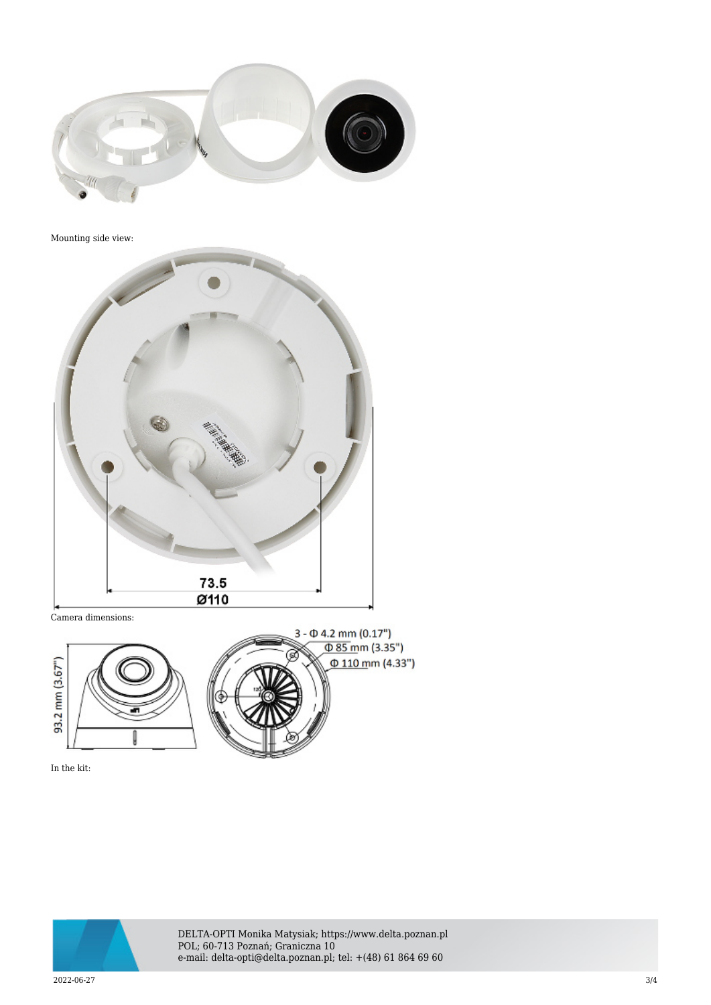

Mounting side view:



Camera dimensions:



In the kit:



DELTA-OPTI Monika Matysiak; https://www.delta.poznan.pl POL; 60-713 Poznań; Graniczna 10 e-mail: delta-opti@delta.poznan.pl; tel: +(48) 61 864 69 60

2022-06-27 3/4